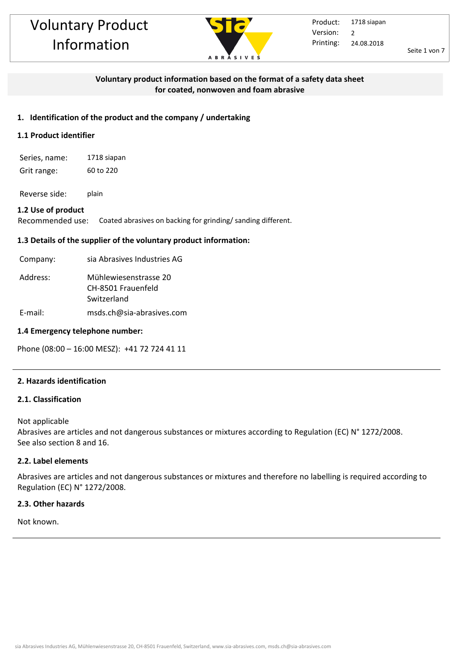

Seite 1 von 7

### **Voluntary product information based on the format of a safety data sheet for coated, nonwoven and foam abrasive**

#### **1. Identification of the product and the company / undertaking**

# **1.1 Product identifier**

Series, name: 1718 siapan Grit range: 60 to 220

Reverse side: plain

#### **1.2 Use of product**

Recommended use: Coated abrasives on backing for grinding/ sanding different.

#### **1.3 Details of the supplier of the voluntary product information:**

| Company: | sia Abrasives Industries AG                                |
|----------|------------------------------------------------------------|
| Address: | Mühlewiesenstrasse 20<br>CH-8501 Frauenfeld<br>Switzerland |

E-mail: msds.ch@sia-abrasives.com

#### **1.4 Emergency telephone number:**

Phone (08:00 – 16:00 MESZ): +41 72 724 41 11

#### **2. Hazards identification**

#### **2.1. Classification**

Not applicable

Abrasives are articles and not dangerous substances or mixtures according to Regulation (EC) N° 1272/2008. See also section 8 and 16.

#### **2.2. Label elements**

Abrasives are articles and not dangerous substances or mixtures and therefore no labelling is required according to Regulation (EC) N° 1272/2008.

#### **2.3. Other hazards**

Not known.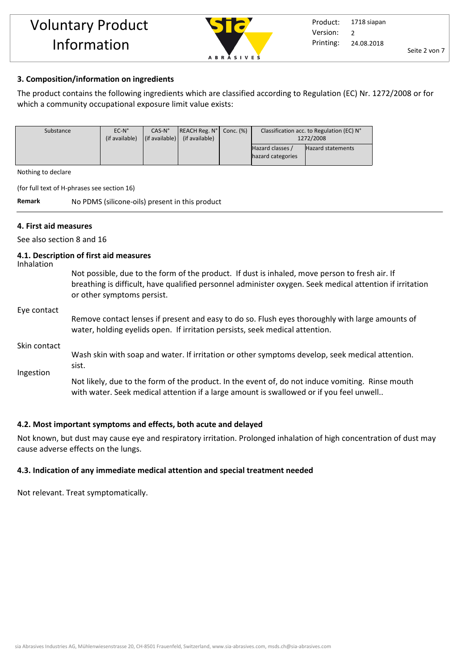

#### **3. Composition/information on ingredients**

The product contains the following ingredients which are classified according to Regulation (EC) Nr. 1272/2008 or for which a community occupational exposure limit value exists:

| Substance | $EC-N^{\circ}$<br>(if available) | $CAS-N^{\circ}$ | $ REACH Reg. N^{\circ} $ Conc. $(\%)$<br>$\left  \right $ (if available) $\left  \right $ (if available) | Classification acc. to Regulation (EC) N°<br>1272/2008 |                          |
|-----------|----------------------------------|-----------------|----------------------------------------------------------------------------------------------------------|--------------------------------------------------------|--------------------------|
|           |                                  |                 |                                                                                                          | Hazard classes /<br>hazard categories                  | <b>Hazard statements</b> |

Nothing to declare

(for full text of H-phrases see section 16)

**Remark** No PDMS (silicone-oils) present in this product

#### **4. First aid measures**

See also section 8 and 16

#### **4.1. Description of first aid measures**

Inhalation

Not possible, due to the form of the product. If dust is inhaled, move person to fresh air. If breathing is difficult, have qualified personnel administer oxygen. Seek medical attention if irritation or other symptoms persist.

#### Eye contact

Remove contact lenses if present and easy to do so. Flush eyes thoroughly with large amounts of water, holding eyelids open. If irritation persists, seek medical attention.

#### Skin contact

Ingestion Wash skin with soap and water. If irritation or other symptoms develop, seek medical attention. sist.

Not likely, due to the form of the product. In the event of, do not induce vomiting. Rinse mouth with water. Seek medical attention if a large amount is swallowed or if you feel unwell..

#### **4.2. Most important symptoms and effects, both acute and delayed**

Not known, but dust may cause eye and respiratory irritation. Prolonged inhalation of high concentration of dust may cause adverse effects on the lungs.

#### **4.3. Indication of any immediate medical attention and special treatment needed**

Not relevant. Treat symptomatically.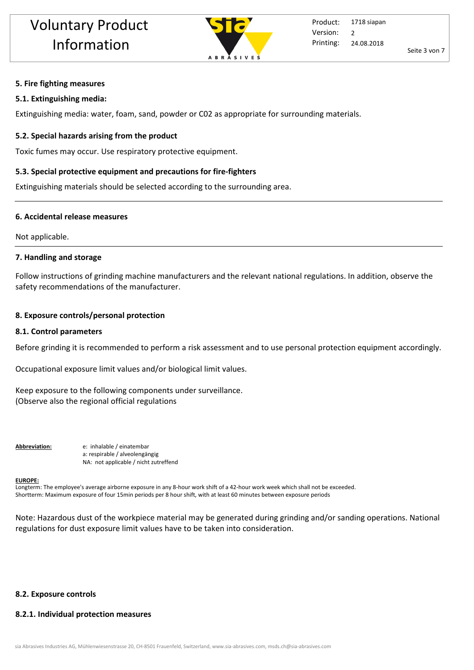

## **5. Fire fighting measures**

## **5.1. Extinguishing media:**

Extinguishing media: water, foam, sand, powder or C02 as appropriate for surrounding materials.

# **5.2. Special hazards arising from the product**

Toxic fumes may occur. Use respiratory protective equipment.

# **5.3. Special protective equipment and precautions for fire-fighters**

Extinguishing materials should be selected according to the surrounding area.

# **6. Accidental release measures**

Not applicable.

# **7. Handling and storage**

Follow instructions of grinding machine manufacturers and the relevant national regulations. In addition, observe the safety recommendations of the manufacturer.

# **8. Exposure controls/personal protection**

# **8.1. Control parameters**

Before grinding it is recommended to perform a risk assessment and to use personal protection equipment accordingly.

Occupational exposure limit values and/or biological limit values.

Keep exposure to the following components under surveillance. (Observe also the regional official regulations

**Abbreviation:** e: inhalable / einatembar a: respirable / alveolengängig NA: not applicable / nicht zutreffend

#### **EUROPE:**

Longterm: The employee's average airborne exposure in any 8-hour work shift of a 42-hour work week which shall not be exceeded. Shortterm: Maximum exposure of four 15min periods per 8 hour shift, with at least 60 minutes between exposure periods

Note: Hazardous dust of the workpiece material may be generated during grinding and/or sanding operations. National regulations for dust exposure limit values have to be taken into consideration.

# **8.2. Exposure controls**

# **8.2.1. Individual protection measures**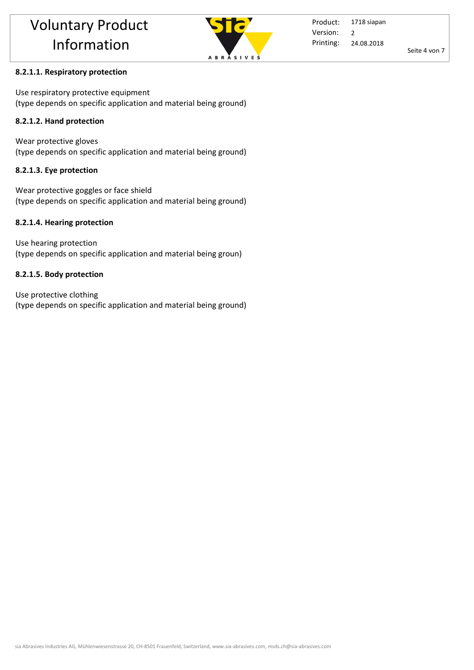

Product: Printing: 1718 siapan 24.08.2018 Version: 2

Seite 4 von 7

# **8.2.1.1. Respiratory protection**

Use respiratory protective equipment (type depends on specific application and material being ground)

# **8.2.1.2. Hand protection**

Wear protective gloves (type depends on specific application and material being ground)

# **8.2.1.3. Eye protection**

Wear protective goggles or face shield (type depends on specific application and material being ground)

# **8.2.1.4. Hearing protection**

Use hearing protection (type depends on specific application and material being groun)

# **8.2.1.5. Body protection**

Use protective clothing (type depends on specific application and material being ground)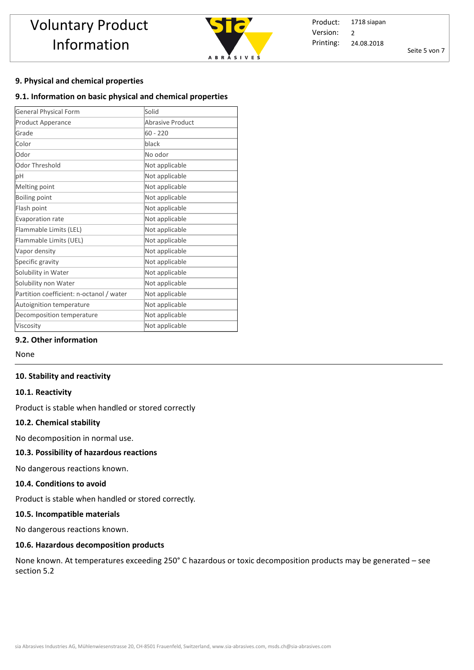

Product: Printing: 1718 siapan 24.08.2018 Version: 2

Seite 5 von 7

#### **9. Physical and chemical properties**

#### **9.1. Information on basic physical and chemical properties**

| <b>General Physical Form</b>             | Solid                   |
|------------------------------------------|-------------------------|
| Product Apperance                        | <b>Abrasive Product</b> |
| Grade                                    | $60 - 220$              |
| Color                                    | black                   |
| Odor                                     | No odor                 |
| Odor Threshold                           | Not applicable          |
| рH                                       | Not applicable          |
| Melting point                            | Not applicable          |
| Boiling point                            | Not applicable          |
| Flash point                              | Not applicable          |
| Evaporation rate                         | Not applicable          |
| Flammable Limits (LEL)                   | Not applicable          |
| Flammable Limits (UEL)                   | Not applicable          |
| Vapor density                            | Not applicable          |
| Specific gravity                         | Not applicable          |
| Solubility in Water                      | Not applicable          |
| Solubility non Water                     | Not applicable          |
| Partition coefficient: n-octanol / water | Not applicable          |
| Autoignition temperature                 | Not applicable          |
| Decomposition temperature                | Not applicable          |
| Viscosity                                | Not applicable          |

#### **9.2. Other information**

None

#### **10. Stability and reactivity**

#### **10.1. Reactivity**

Product is stable when handled or stored correctly

#### **10.2. Chemical stability**

No decomposition in normal use.

#### **10.3. Possibility of hazardous reactions**

No dangerous reactions known.

#### **10.4. Conditions to avoid**

Product is stable when handled or stored correctly. 

#### **10.5. Incompatible materials**

No dangerous reactions known.

#### **10.6. Hazardous decomposition products**

None known. At temperatures exceeding 250° C hazardous or toxic decomposition products may be generated – see section 5.2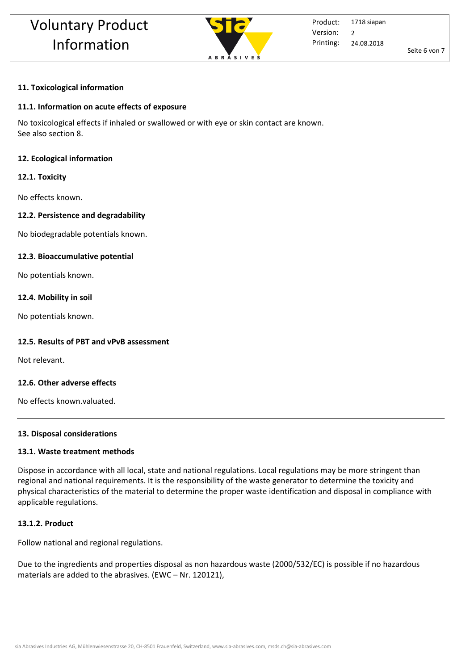

Seite 6 von 7

#### **11. Toxicological information**

#### **11.1. Information on acute effects of exposure**

No toxicological effects if inhaled or swallowed or with eye or skin contact are known. See also section 8.

#### **12. Ecological information**

#### **12.1. Toxicity**

No effects known.

#### **12.2. Persistence and degradability**

No biodegradable potentials known.

#### **12.3. Bioaccumulative potential**

No potentials known.

#### **12.4. Mobility in soil**

No potentials known.

#### **12.5. Results of PBT and vPvB assessment**

Not relevant.

#### **12.6. Other adverse effects**

No effects known.valuated.

#### **13. Disposal considerations**

#### **13.1. Waste treatment methods**

Dispose in accordance with all local, state and national regulations. Local regulations may be more stringent than regional and national requirements. It is the responsibility of the waste generator to determine the toxicity and physical characteristics of the material to determine the proper waste identification and disposal in compliance with applicable regulations.

#### **13.1.2. Product**

Follow national and regional regulations.

Due to the ingredients and properties disposal as non hazardous waste (2000/532/EC) is possible if no hazardous materials are added to the abrasives. (EWC – Nr. 120121),